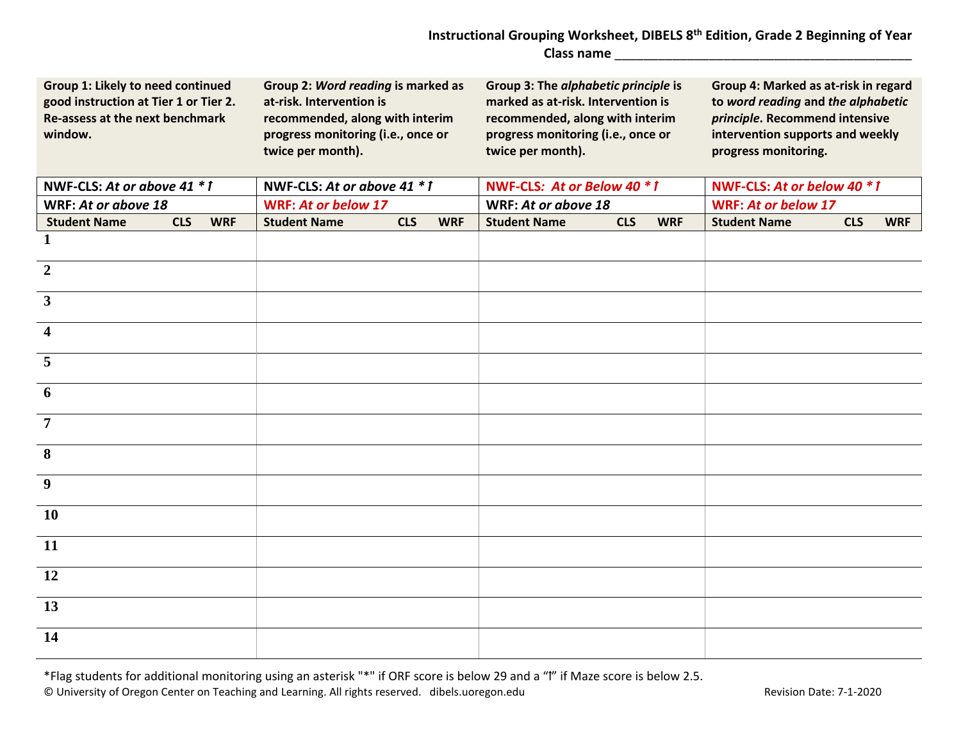## **Instructional Grouping Worksheet, DIBELS 8th Edition, Grade 2 Beginning of Year Class name** \_\_\_\_\_\_\_\_\_\_\_\_\_\_\_\_\_\_\_\_\_\_\_\_\_\_\_\_\_\_\_\_\_\_\_\_\_\_\_\_\_

| Group 1: Likely to need continued<br>good instruction at Tier 1 or Tier 2.<br>Re-assess at the next benchmark<br>window. |            |            | Group 2: Word reading is marked as<br>at-risk. Intervention is<br>recommended, along with interim<br>progress monitoring (i.e., once or<br>twice per month). |            |            | Group 3: The alphabetic principle is<br>marked as at-risk. Intervention is<br>recommended, along with interim<br>progress monitoring (i.e., once or<br>twice per month). |            |            | Group 4: Marked as at-risk in regard<br>to word reading and the alphabetic<br>principle. Recommend intensive<br>intervention supports and weekly<br>progress monitoring. |            |            |
|--------------------------------------------------------------------------------------------------------------------------|------------|------------|--------------------------------------------------------------------------------------------------------------------------------------------------------------|------------|------------|--------------------------------------------------------------------------------------------------------------------------------------------------------------------------|------------|------------|--------------------------------------------------------------------------------------------------------------------------------------------------------------------------|------------|------------|
| NWF-CLS: At or above 41 * 1                                                                                              |            |            | NWF-CLS: At or above 41 * 1                                                                                                                                  |            |            | NWF-CLS: At or Below 40 * 1                                                                                                                                              |            |            | NWF-CLS: At or below 40 * 1                                                                                                                                              |            |            |
| WRF: At or above 18                                                                                                      |            |            | <b>WRF: At or below 17</b>                                                                                                                                   |            |            | WRF: At or above 18                                                                                                                                                      |            |            | <b>WRF: At or below 17</b>                                                                                                                                               |            |            |
| <b>Student Name</b>                                                                                                      | <b>CLS</b> | <b>WRF</b> | <b>Student Name</b>                                                                                                                                          | <b>CLS</b> | <b>WRF</b> | <b>Student Name</b>                                                                                                                                                      | <b>CLS</b> | <b>WRF</b> | <b>Student Name</b>                                                                                                                                                      | <b>CLS</b> | <b>WRF</b> |
| $\mathbf{1}$                                                                                                             |            |            |                                                                                                                                                              |            |            |                                                                                                                                                                          |            |            |                                                                                                                                                                          |            |            |
| $\overline{2}$                                                                                                           |            |            |                                                                                                                                                              |            |            |                                                                                                                                                                          |            |            |                                                                                                                                                                          |            |            |
| $\mathbf{3}$                                                                                                             |            |            |                                                                                                                                                              |            |            |                                                                                                                                                                          |            |            |                                                                                                                                                                          |            |            |
| $\overline{\mathbf{4}}$                                                                                                  |            |            |                                                                                                                                                              |            |            |                                                                                                                                                                          |            |            |                                                                                                                                                                          |            |            |
| 5                                                                                                                        |            |            |                                                                                                                                                              |            |            |                                                                                                                                                                          |            |            |                                                                                                                                                                          |            |            |
| 6                                                                                                                        |            |            |                                                                                                                                                              |            |            |                                                                                                                                                                          |            |            |                                                                                                                                                                          |            |            |
| $\overline{7}$                                                                                                           |            |            |                                                                                                                                                              |            |            |                                                                                                                                                                          |            |            |                                                                                                                                                                          |            |            |
| 8                                                                                                                        |            |            |                                                                                                                                                              |            |            |                                                                                                                                                                          |            |            |                                                                                                                                                                          |            |            |
| $\overline{9}$                                                                                                           |            |            |                                                                                                                                                              |            |            |                                                                                                                                                                          |            |            |                                                                                                                                                                          |            |            |
| <b>10</b>                                                                                                                |            |            |                                                                                                                                                              |            |            |                                                                                                                                                                          |            |            |                                                                                                                                                                          |            |            |
| <b>11</b>                                                                                                                |            |            |                                                                                                                                                              |            |            |                                                                                                                                                                          |            |            |                                                                                                                                                                          |            |            |
| 12                                                                                                                       |            |            |                                                                                                                                                              |            |            |                                                                                                                                                                          |            |            |                                                                                                                                                                          |            |            |
| 13                                                                                                                       |            |            |                                                                                                                                                              |            |            |                                                                                                                                                                          |            |            |                                                                                                                                                                          |            |            |
| 14                                                                                                                       |            |            |                                                                                                                                                              |            |            |                                                                                                                                                                          |            |            |                                                                                                                                                                          |            |            |

\*Flag students for additional monitoring using an asterisk "\*" if ORF score is below 29 and a "1" if Maze score is below 2.5. © University of Oregon Center on Teaching and Learning. All rights reserved. dibels.uoregon.edu Revision Date: 7-1-2020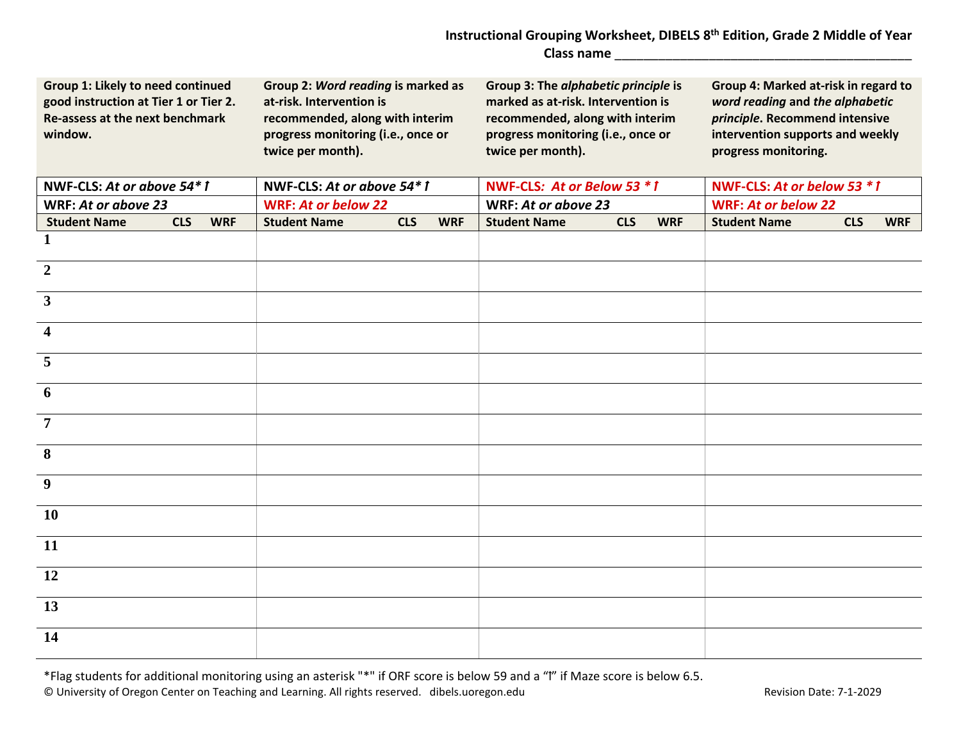## **Instructional Grouping Worksheet, DIBELS 8th Edition, Grade 2 Middle of Year Class name** \_\_\_\_\_\_\_\_\_\_\_\_\_\_\_\_\_\_\_\_\_\_\_\_\_\_\_\_\_\_\_\_\_\_\_\_\_\_\_\_\_

| Group 1: Likely to need continued<br>good instruction at Tier 1 or Tier 2.<br>Re-assess at the next benchmark<br>window. |            |            | Group 2: Word reading is marked as<br>at-risk. Intervention is<br>recommended, along with interim<br>progress monitoring (i.e., once or<br>twice per month). |            |            | Group 3: The alphabetic principle is<br>marked as at-risk. Intervention is<br>recommended, along with interim<br>progress monitoring (i.e., once or<br>twice per month). |            |            | Group 4: Marked at-risk in regard to<br>word reading and the alphabetic<br>principle. Recommend intensive<br>intervention supports and weekly<br>progress monitoring. |            |            |
|--------------------------------------------------------------------------------------------------------------------------|------------|------------|--------------------------------------------------------------------------------------------------------------------------------------------------------------|------------|------------|--------------------------------------------------------------------------------------------------------------------------------------------------------------------------|------------|------------|-----------------------------------------------------------------------------------------------------------------------------------------------------------------------|------------|------------|
| NWF-CLS: At or above 54*1                                                                                                |            |            | NWF-CLS: At or above 54*1                                                                                                                                    |            |            | NWF-CLS: At or Below 53 * 1                                                                                                                                              |            |            | NWF-CLS: At or below 53 * 1                                                                                                                                           |            |            |
| WRF: At or above 23                                                                                                      |            |            | <b>WRF: At or below 22</b>                                                                                                                                   |            |            | WRF: At or above 23                                                                                                                                                      |            |            | <b>WRF: At or below 22</b>                                                                                                                                            |            |            |
| <b>Student Name</b>                                                                                                      | <b>CLS</b> | <b>WRF</b> | <b>Student Name</b>                                                                                                                                          | <b>CLS</b> | <b>WRF</b> | <b>Student Name</b>                                                                                                                                                      | <b>CLS</b> | <b>WRF</b> | <b>Student Name</b>                                                                                                                                                   | <b>CLS</b> | <b>WRF</b> |
| $\mathbf{1}$                                                                                                             |            |            |                                                                                                                                                              |            |            |                                                                                                                                                                          |            |            |                                                                                                                                                                       |            |            |
| $\overline{2}$                                                                                                           |            |            |                                                                                                                                                              |            |            |                                                                                                                                                                          |            |            |                                                                                                                                                                       |            |            |
| $\overline{\mathbf{3}}$                                                                                                  |            |            |                                                                                                                                                              |            |            |                                                                                                                                                                          |            |            |                                                                                                                                                                       |            |            |
| $\overline{\mathbf{4}}$                                                                                                  |            |            |                                                                                                                                                              |            |            |                                                                                                                                                                          |            |            |                                                                                                                                                                       |            |            |
| 5                                                                                                                        |            |            |                                                                                                                                                              |            |            |                                                                                                                                                                          |            |            |                                                                                                                                                                       |            |            |
| 6                                                                                                                        |            |            |                                                                                                                                                              |            |            |                                                                                                                                                                          |            |            |                                                                                                                                                                       |            |            |
| $\overline{7}$                                                                                                           |            |            |                                                                                                                                                              |            |            |                                                                                                                                                                          |            |            |                                                                                                                                                                       |            |            |
| 8                                                                                                                        |            |            |                                                                                                                                                              |            |            |                                                                                                                                                                          |            |            |                                                                                                                                                                       |            |            |
| $\overline{9}$                                                                                                           |            |            |                                                                                                                                                              |            |            |                                                                                                                                                                          |            |            |                                                                                                                                                                       |            |            |
| <b>10</b>                                                                                                                |            |            |                                                                                                                                                              |            |            |                                                                                                                                                                          |            |            |                                                                                                                                                                       |            |            |
| <b>11</b>                                                                                                                |            |            |                                                                                                                                                              |            |            |                                                                                                                                                                          |            |            |                                                                                                                                                                       |            |            |
| <b>12</b>                                                                                                                |            |            |                                                                                                                                                              |            |            |                                                                                                                                                                          |            |            |                                                                                                                                                                       |            |            |
| 13                                                                                                                       |            |            |                                                                                                                                                              |            |            |                                                                                                                                                                          |            |            |                                                                                                                                                                       |            |            |
| 14                                                                                                                       |            |            |                                                                                                                                                              |            |            |                                                                                                                                                                          |            |            |                                                                                                                                                                       |            |            |

\*Flag students for additional monitoring using an asterisk "\*" if ORF score is below 59 and a "ꝉ" if Maze score is below 6.5. © University of Oregon Center on Teaching and Learning. All rights reserved. dibels.uoregon.edu Revision Date: 7-1-2029